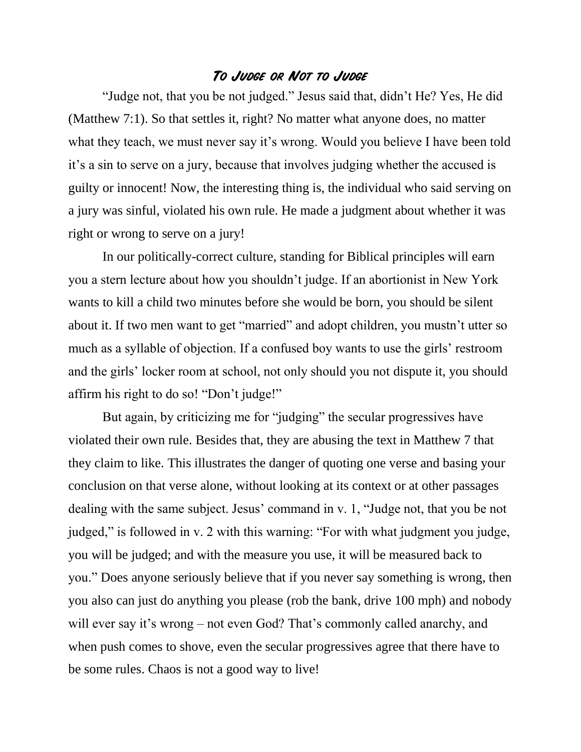## **To Judge or Not to Judge**

"Judge not, that you be not judged." Jesus said that, didn't He? Yes, He did (Matthew 7:1). So that settles it, right? No matter what anyone does, no matter what they teach, we must never say it's wrong. Would you believe I have been told it's a sin to serve on a jury, because that involves judging whether the accused is guilty or innocent! Now, the interesting thing is, the individual who said serving on a jury was sinful, violated his own rule. He made a judgment about whether it was right or wrong to serve on a jury!

In our politically-correct culture, standing for Biblical principles will earn you a stern lecture about how you shouldn't judge. If an abortionist in New York wants to kill a child two minutes before she would be born, you should be silent about it. If two men want to get "married" and adopt children, you mustn't utter so much as a syllable of objection. If a confused boy wants to use the girls' restroom and the girls' locker room at school, not only should you not dispute it, you should affirm his right to do so! "Don't judge!"

But again, by criticizing me for "judging" the secular progressives have violated their own rule. Besides that, they are abusing the text in Matthew 7 that they claim to like. This illustrates the danger of quoting one verse and basing your conclusion on that verse alone, without looking at its context or at other passages dealing with the same subject. Jesus' command in v. 1, "Judge not, that you be not judged," is followed in v. 2 with this warning: "For with what judgment you judge, you will be judged; and with the measure you use, it will be measured back to you." Does anyone seriously believe that if you never say something is wrong, then you also can just do anything you please (rob the bank, drive 100 mph) and nobody will ever say it's wrong – not even God? That's commonly called anarchy, and when push comes to shove, even the secular progressives agree that there have to be some rules. Chaos is not a good way to live!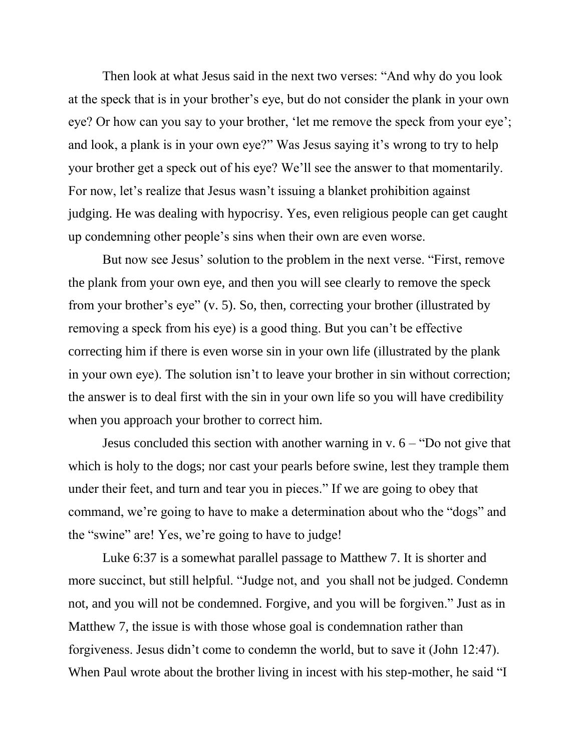Then look at what Jesus said in the next two verses: "And why do you look at the speck that is in your brother's eye, but do not consider the plank in your own eye? Or how can you say to your brother, 'let me remove the speck from your eye'; and look, a plank is in your own eye?" Was Jesus saying it's wrong to try to help your brother get a speck out of his eye? We'll see the answer to that momentarily. For now, let's realize that Jesus wasn't issuing a blanket prohibition against judging. He was dealing with hypocrisy. Yes, even religious people can get caught up condemning other people's sins when their own are even worse.

But now see Jesus' solution to the problem in the next verse. "First, remove the plank from your own eye, and then you will see clearly to remove the speck from your brother's eye" (v. 5). So, then, correcting your brother (illustrated by removing a speck from his eye) is a good thing. But you can't be effective correcting him if there is even worse sin in your own life (illustrated by the plank in your own eye). The solution isn't to leave your brother in sin without correction; the answer is to deal first with the sin in your own life so you will have credibility when you approach your brother to correct him.

Jesus concluded this section with another warning in v.  $6 -$  "Do not give that which is holy to the dogs; nor cast your pearls before swine, lest they trample them under their feet, and turn and tear you in pieces." If we are going to obey that command, we're going to have to make a determination about who the "dogs" and the "swine" are! Yes, we're going to have to judge!

Luke 6:37 is a somewhat parallel passage to Matthew 7. It is shorter and more succinct, but still helpful. "Judge not, and you shall not be judged. Condemn not, and you will not be condemned. Forgive, and you will be forgiven." Just as in Matthew 7, the issue is with those whose goal is condemnation rather than forgiveness. Jesus didn't come to condemn the world, but to save it (John 12:47). When Paul wrote about the brother living in incest with his step-mother, he said "I